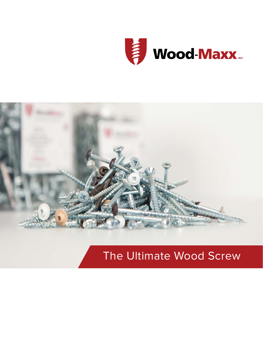



# The Ultimate Wood Screw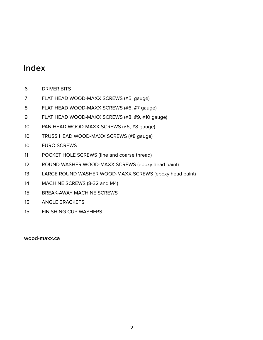# **Index**

- DRIVER BITS
- FLAT HEAD WOOD-MAXX SCREWS (#5, gauge)
- FLAT HEAD WOOD-MAXX SCREWS (#6, #7 gauge)
- FLAT HEAD WOOD-MAXX SCREWS (#8, #9, #10 gauge)
- PAN HEAD WOOD-MAXX SCREWS (#6, #8 gauge)
- TRUSS HEAD WOOD-MAXX SCREWS (#8 gauge)
- EURO SCREWS
- POCKET HOLE SCREWS (fine and coarse thread)
- ROUND WASHER WOOD-MAXX SCREWS (epoxy head paint)
- LARGE ROUND WASHER WOOD-MAXX SCREWS (epoxy head paint)
- MACHINE SCREWS (8-32 and M4)
- BREAK-AWAY MACHINE SCREWS
- ANGLE BRACKETS
- FINISHING CUP WASHERS

## **wood-maxx.ca**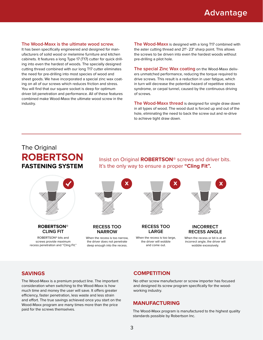#### **The Wood-Maxx is the ultimate wood screw.**

It has been specifically engineered and designed for manufacturers of solid wood or melamine furniture and kitchen cabinets. It features a long Type 17 (T17) cutter for quick drilling into even the hardest of woods. The specially designed cutting thread combined with our long T17 cutter eliminates the need for pre-drilling into most species of wood and sheet goods. We have incorporated a special zinc wax coating on all of our screws which reduces friction and stress. You will find that our square socket is deep for optimum driver bit penetration and performance. All of these features combined make Wood-Maxx the ultimate wood screw in the industry.

**The Wood-Maxx** is designed with a long T17 combined with the aster cutting thread and 21°- 23° sharp point. This allows the screws to be driven into even the hardest woods without pre-drilling a pilot hole.

**The special Zinc Wax coating** on the Wood-Maxx delivers unmatched performance, reducing the torque required to drive screws. This result is a reduction in user fatigue, which in turn will decrease the potential hazard of repetitive stress syndrome, or carpal tunnel, caused by the continuous driving of screws.

**The Wood-Maxx thread** is designed for single draw down in all types of wood. The wood dust is forced up and out of the hole, eliminating the need to back the screw out and re-drive to achieve tight draw down.

# The Original **ROBERTSON FASTENING SYSTEM**

**ROBERTSON**® **CLING FIT**

ROBERTSON® bits and screws provide maximum recess penetration and "Cling Fit." Insist on Original **ROBERTSON**® screws and driver bits. It's the only way to ensure a proper **"Cling Fit".**



When the recess is too narrow. the driver does not penetrate deep enough into the recess.

When the recess is too large, the driver will wobble and come out.

#### When the recess or bit is at an incorrect angle, the driver will wobble excessively.

The Wood-Maxx is a premium product line. The important consideration when switching to the Wood-Maxx is how much time and money the user will save. It offers greater efficiency, faster penetration, less waste and less strain and effort. The true savings achieved once you start on the Wood-Maxx program are many times more than the price paid for the screws themselves.

## **SAVINGS COMPETITION**

No other screw manufacturer or screw importer has focused and designed its screw program specifically for the woodworking industry.

#### **MANUFACTURING**

The Wood-Maxx program is manufactured to the highest quality standards possible by Robertson Inc.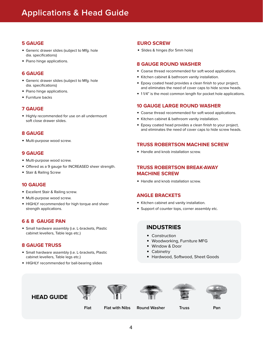# **Applications & Head Guide**

### **5 GAUGE**

- **•** Generic drawer slides (subject to Mfg. hole dia. specifications)
- **•** Piano hinge applications.

## **6 GAUGE**

- **•** Generic drawer slides (subject to Mfg. hole dia. specifications)
- **•** Piano hinge applications.
- **•** Furniture backs

## **7 GAUGE**

**•** Highly recommended for use on all undermount soft close drawer slides.

#### **8 GAUGE**

**•** Multi-purpose wood screw.

## **9 GAUGE**

- **•** Multi-purpose wood screw.
- **•** Offered as a 9 gauge for INCREASED sheer strength.
- **•** Stair & Railing Screw

## **10 GAUGE**

- **•** Excellent Stair & Railing screw.
- **•** Multi-purpose wood screw.
- **•** HIGHLY recommended for high torque and sheer strength applications.

#### **6 & 8 GAUGE PAN**

**•** Small hardware assembly (i.e. L-brackets, Plastic **INDUSTRIES** cabinet levellers, Table legs etc.)

## **8 GAUGE TRUSS**

- **•** Small hardware assembly (i.e. L-brackets, Plastic cabinet levellers, Table legs etc.)
- **•** HIGHLY recommended for ball-bearing slides

## **EURO SCREW**

**•** Slides & hinges (for 5mm hole)

#### **8 GAUGE ROUND WASHER**

- **•** Coarse thread recommended for soft wood applications.
- **•** Kitchen cabinet & bathroom vanity installation.
- **•** Epoxy coated head provides a clean finish to your project, and eliminates the need of cover caps to hide screw heads.
- **•** 1 1/4" is the most common length for pocket hole applications.

## **10 GAUGE LARGE ROUND WASHER**

- **•** Coarse thread recommended for soft wood applications.
- **•** Kitchen cabinet & bathroom vanity installation.
- **•** Epoxy coated head provides a clean finish to your project, and eliminates the need of cover caps to hide screw heads.

## **TRUSS ROBERTSON MACHINE SCREW**

**•** Handle and knob installation screw.

## **TRUSS ROBERTSON BREAK-AWAY MACHINE SCREW**

**•** Handle and knob installation screw.

## **ANGLE BRACKETS**

- **•** Kitchen cabinet and vanity installation.
- **•** Support of counter tops, corner assembly etc.

- **•** Construction
- **•** Woodworking, Furniture MFG
- **•** Window & Door
- **•** Cabinetry
- **•** Hardwood, Softwood, Sheet Goods











**Flat Flat with Nibs Round Washer Truss Pan**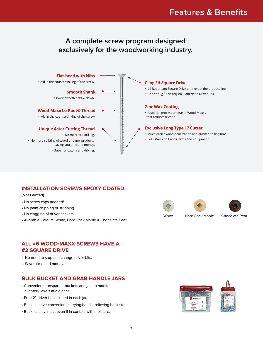# **Features & Benefits**

# **A complete screw program designed exclusively for the woodworking industry.**



## **INSTALLATION SCREWS EPOXY COATED**

#### **(Not Painted)**

- No screw caps needed!
- No paint chipping or stripping.
- No clogging of driver sockets.
- Available Colours: White, Hard Rock Maple & Chocolate Pear





# **ALL #6 WOOD-MAXX SCREWS HAVE A #2 SQUARE DRIVE**

- No need to stop and change driver bits.
- Saves time and money.

## **BULK BUCKET AND GRAB HANDLE JARS**

- Convenient transparent buckets and jars to monitor inventory levels at a glance.
- Free 2" driver bit included in each jar.
- Buckets have convenient carrying handle relieving back strain.
- Buckets stay intact even if in contact with moisture.

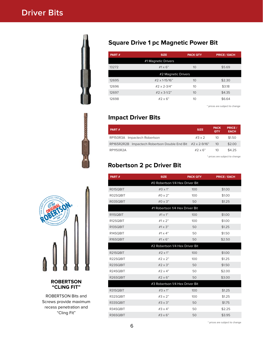# **Driver Bits**



# **Square Drive 1 pc Magnetic Power Bit**

| PART# | <b>SIZE</b>         | <b>PACK QTY</b> | <b>PRICE / EACH</b> |
|-------|---------------------|-----------------|---------------------|
|       | #1 Magnetic Drivers |                 |                     |
| 13272 | $#1 \times 6"$      | 10              | \$5.69              |
|       | #2 Magnetic Drivers |                 |                     |
| 12695 | #2 x 1-15/16"       | 10              | \$2.30              |
| 12696 | #2 $\times$ 2-3/4"  | 10              | \$3.18              |
| 12697 | #2 x 3-1/2"         | 10              | \$4.35              |
| 12698 | $#2 \times 6"$      | 10              | \$6.64              |

\* prices are subject to change

# **Impact Driver Bits**

| PART#                                                               | <b>SIZE</b>    | <b>PACK</b><br><b>QTY</b> | <b>PRICE /</b><br><b>EACH</b> |
|---------------------------------------------------------------------|----------------|---------------------------|-------------------------------|
| RP150R3A Impactech Robertson                                        | $\#3 \times 2$ | 10                        | \$1.50                        |
| RP165R2R2B Impactech Robertson Double End Bit $#2 \times 2 - 9/16"$ |                | 10                        | \$2.00                        |
| RP1150R2A                                                           | $#2 \times 6"$ | 10                        | \$4.25                        |

\* prices are subject to change

# **Robertson 2 pc Driver Bit**

| PART#                           | <b>SIZE</b>                     | <b>PACK QTY</b> | <b>PRICE / EACH</b> |  |  |  |  |  |  |
|---------------------------------|---------------------------------|-----------------|---------------------|--|--|--|--|--|--|
| #0 Robertson 1/4 Hex Driver Bit |                                 |                 |                     |  |  |  |  |  |  |
| R01SQBIT                        | $#O \times 1$ "                 | 100             | \$1.00              |  |  |  |  |  |  |
| R02SQBIT                        | $#0 \times 2"$                  | 100             | \$1.00              |  |  |  |  |  |  |
| R03SQBIT                        | #0 $\times$ 3"                  | 50              | \$1.25              |  |  |  |  |  |  |
|                                 | #1 Robertson 1/4 Hex Driver Bit |                 |                     |  |  |  |  |  |  |
| R11SQBIT                        | $#1 \times 1"$                  | 100             | \$1.00              |  |  |  |  |  |  |
| R12SQBIT                        | # $1 \times 2$ "                | 100             | \$1.00              |  |  |  |  |  |  |
| R13SQBIT                        | # $1 \times 3"$                 | 50              | \$1.25              |  |  |  |  |  |  |
| R14SQBIT                        | #1 $\times$ 4"                  | 50              | \$1.50              |  |  |  |  |  |  |
| R16SQBIT                        | $#1 \times 6"$                  | 50              | \$2.50              |  |  |  |  |  |  |
|                                 | #2 Robertson 1/4 Hex Driver Bit |                 |                     |  |  |  |  |  |  |
| R21SQBIT                        | $#2 \times 1"$                  | 100             | \$1.00              |  |  |  |  |  |  |
| R22SQBIT                        | $#2 \times 2"$                  | 100             | \$1.25              |  |  |  |  |  |  |
| R23SQBIT                        | #2 x 3"                         | 50              | \$1.50              |  |  |  |  |  |  |
| R24SQBIT                        | #2 $\times$ 4"                  | 50              | \$2.00              |  |  |  |  |  |  |
| R26SQBIT                        | $#2 \times 6"$                  | 50              | \$3.00              |  |  |  |  |  |  |
|                                 | #3 Robertson 1/4 Hex Driver Bit |                 |                     |  |  |  |  |  |  |
| R31SQBIT                        | $#3 \times 1"$                  | 100             | \$1.25              |  |  |  |  |  |  |
| R32SQBIT                        | $#3 \times 2"$                  | 100             | \$1.25              |  |  |  |  |  |  |
| R33SQBIT                        | $#3 \times 3"$                  | 50              | \$1.75              |  |  |  |  |  |  |
| R34SQBIT                        | $#3 \times 4"$                  | 50              | \$2.25              |  |  |  |  |  |  |
| R36SQBIT                        | $#3 \times 6"$                  | 50              | \$3.95              |  |  |  |  |  |  |
|                                 |                                 |                 |                     |  |  |  |  |  |  |



## **ROBERTSON "CLING FIT"**

ROBERTSON Bits and Screws provide maximum recess penetration and "Cling Fit"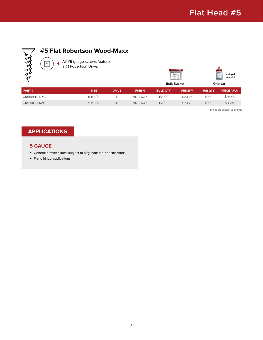

# **#5 Flat Robertson Wood-Maxx**

All #5 gauge screws feature a #1 Robertson Drive.

|                    | add -pak<br>to part $#$ |
|--------------------|-------------------------|
| <b>Bulk Bucket</b> | Grip Jar                |

| <b>PART</b> # | <b>SIZE</b>     | <b>DRIVE</b> | <b>FINISH</b>   | <b>BULK QTY</b> | <b>PRICE/M</b> | <b>JAR QTY</b> | <b>PRICE / JAR</b> |
|---------------|-----------------|--------------|-----------------|-----------------|----------------|----------------|--------------------|
| CR558FHLRZC   | $5 \times 5/8"$ | #1           | <b>ZINC WAX</b> | 15,000          | \$23.46        | 1.000          | \$36.44            |
| CR534FHLRZC   | $5 \times 3/4"$ | #1           | <b>ZINC WAX</b> | 15,000          | \$23.23        | 1.000          | \$36.19            |

\* prices are subject to change

# **APPLICATIONS**

 $\sqrt{\frac{4}{1}}$ 

#### **5 GAUGE**

- **•** Generic drawer slides (subject to Mfg. hole dia. specifications)
- **•** Piano hinge applications.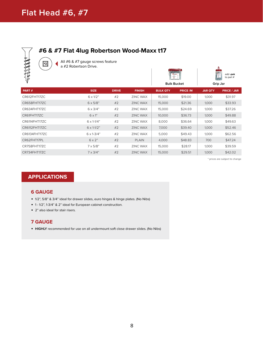

# **#6 & #7 Flat 4lug Robertson Wood-Maxx t17**

All #6 & #7 gauge screws feature a #2 Robertson Drive.

| a #2 Robertson Drive.<br>╺<br>FOR THE PARTY |                            |              |                 | U mon-<br>÷     | <b>Bulk Bucket</b> |                | add -pak<br>to part $#$<br>Grip Jar |
|---------------------------------------------|----------------------------|--------------|-----------------|-----------------|--------------------|----------------|-------------------------------------|
| PART#                                       | <b>SIZE</b>                | <b>DRIVE</b> | <b>FINISH</b>   | <b>BULK QTY</b> | <b>PRICE/M</b>     | <b>JAR QTY</b> | <b>PRICE / JAR</b>                  |
| CR612FHT17ZC                                | $6 \times 1/2$ "           | #2           | <b>ZINC WAX</b> | 15,000          | \$19.00            | 1,000          | \$31.97                             |
| CR658FHT17ZC                                | $6 \times 5/8"$            | #2           | <b>ZINC WAX</b> | 15,000          | \$21.36            | 1,000          | \$33.93                             |
| CR634FHT17ZC                                | $6 \times 3/4"$            | #2           | <b>ZINC WAX</b> | 15,000          | \$24.69            | 1,000          | \$37.26                             |
| CR61FHT17ZC                                 | $6 \times 1$ "             | #2           | <b>ZINC WAX</b> | 10,000          | \$36.73            | 1,000          | \$49.88                             |
| CR6114FHT17ZC                               | $6 \times 1 - 1/4$ "       | #2           | <b>ZINC WAX</b> | 8,000           | \$36.64            | 1,000          | \$49.63                             |
| CR6112FHT17ZC                               | $6 \times 1 - 1/2$ "       | #2           | <b>ZINC WAX</b> | 7,000           | \$39.40            | 1,000          | \$52.46                             |
| CR6134FHT17ZC                               | $6 \times 1 - \frac{3}{4}$ | #2           | <b>ZINC WAX</b> | 5,000           | \$49.43            | 1,000          | \$62.56                             |
| CR62FHT17PL                                 | $6 \times 2"$              | #2           | <b>PLAIN</b>    | 4,000           | \$48.83            | 700            | \$47.24                             |
| CR758FHT17ZC                                | $7 \times 5/8"$            | #2           | <b>ZINC WAX</b> | 15,000          | \$28.17            | 1,000          | \$39.59                             |
| CR734FHT17ZC                                | $7 \times 3/4"$            | #2           | <b>ZINC WAX</b> | 15,000          | \$29.51            | 1,000          | \$42.02                             |
|                                             |                            |              |                 |                 |                    |                |                                     |

\* prices are subject to change

# **APPLICATIONS**

#### **6 GAUGE**

- **•** 1/2", 5/8" & 3/4" ideal for drawer slides, euro hinges & hinge plates. (No Nibs)
- **•** 1 1/2", 1-3/4" & 2" ideal for European cabinet construction.
- **•** 2" also ideal for stair risers.

## **7 GAUGE**

**• HIGHLY** recommended for use on all undermount soft close drawer slides. (No Nibs)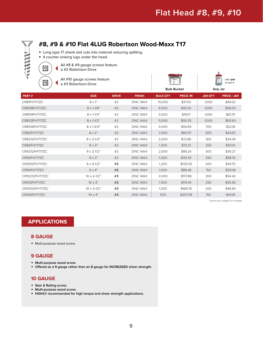

# **#8, #9 & #10 Flat 4LUG Robertson Wood-Maxx T17**

- **•** Long type 17 shank slot cuts into material reducing splitting.
- **•** 4 counter sinking lugs under the head.

 $\sqrt{\frac{4}{2}}$ 

All #8 & #9 gauge screws feature a #2 Robertson Drive

All #10 gauge screws feature **a** #3 Robertson Drive

|                    | add -pak<br>to part $#$ |
|--------------------|-------------------------|
| <b>Bulk Bucket</b> | Grip Jar                |

| PART#          | <b>SIZE</b>                | <b>DRIVE</b> | <b>FINISH</b>   | <b>BULK QTY</b> | <b>PRICE/M</b> | <b>JAR QTY</b> | <b>PRICE / JAR</b> |
|----------------|----------------------------|--------------|-----------------|-----------------|----------------|----------------|--------------------|
| CR81FHT17ZC    | $8 \times 1"$              | #2           | <b>ZINC WAX</b> | 10,000          | \$37.02        | 1,000          | \$49.52            |
| CR8118FHT17ZC  | $8 \times 1 - 1/8$ "       | #2           | <b>ZINC WAX</b> | 8,000           | \$43.55        | 1,000          | \$56.05            |
| CR8114FHT17ZC  | $8 \times 1 - 1/4$ "       | #2           | <b>ZINC WAX</b> | 5,000           | \$49.17        | 1,000          | \$61.79            |
| CR8112FHT17ZC  | $8 \times 1 - 1/2$ "       | #2           | <b>ZINC WAX</b> | 5,000           | \$55.55        | 1,000          | \$65.60            |
| CR8134FHT17ZC  | $8 \times 1 - \frac{3}{4}$ | #2           | <b>ZINC WAX</b> | 4,000           | \$56.69        | 700            | \$52.18            |
| CR82FHT17ZC    | $8 \times 2"$              | #2           | <b>ZINC WAX</b> | 3,500           | \$60.57        | 500            | \$44.65            |
| CR8212FHT17ZC  | $8 \times 2 - 1/2$ "       | #2           | ZINC WAX        | 2,000           | \$72.86        | 300            | \$34.36            |
| CR83FHT17ZC    | $8 \times 3"$              | #2           | <b>ZINC WAX</b> | 1,500           | \$72.21        | 250            | \$31.09            |
| CR9212FHT17ZC  | $9 \times 2 - 1/2$ "       | #2           | <b>ZINC WAX</b> | 2,000           | \$89.24        | 300            | \$39.27            |
| CR93FHT17ZC    | $9 \times 3"$              | #2           | <b>ZINC WAX</b> | 1,500           | \$151.55       | 250            | \$58.76            |
| CR9312FHT17ZC  | $9 \times 3 - 1/2$ "       | #2           | <b>ZINC WAX</b> | 1,200           | \$129.29       | 200            | \$44.75            |
| CR94FHT17ZC    | $9 \times 4$ "             | #2           | <b>ZINC WAX</b> | 1,000           | \$88.48        | 150            | \$30.08            |
| CR10212FHT17ZC | $10 \times 2 - 1/2$ "      | #3           | <b>ZINC WAX</b> | 2,000           | \$137.88       | 300            | \$54.42            |
| CR103FHT17ZC   | $10 \times 3"$             | #3           | <b>ZINC WAX</b> | 1,500           | \$131.44       | 250            | \$45.90            |
| CR10312FHT17ZC | $10 \times 3 - 1/2$ "      | #3           | <b>ZINC WAX</b> | 1,000           | \$168.78       | 200            | \$46.84            |
| CR104FHT17ZC   | $10 \times 4"$             | #3           | <b>ZINC WAX</b> | 500             | \$207.49       | 150            | \$44.18            |

\* prices are subject to change

## **APPLICATIONS**

#### **8 GAUGE**

**•** Mutli-purpose wood screw.

## **9 GAUGE**

- **• Multi-purpose wood screw**
- **• Offered as a 9 gauge rather than an 8 gauge for INCREASED sheer strength.**

## **10 GAUGE**

- **• Stair & Railing screw.**
- **• Multi-purpose wood screw.**
- **• HIGHLY recommended for high torque and sheer strength applications.**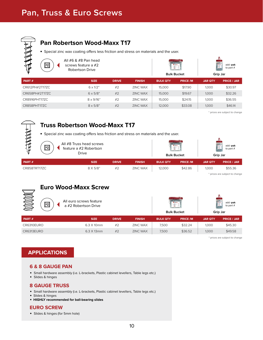# **Pan, Truss & Euro Screws**



# **Pan Robertson Wood-Maxx T17**

**•** Special zinc wax coating offers less friction and stress on materials and the user.

| ਵ<br>$\overline{1}$<br>W | All $#6 & #8$ Pan head<br>screws feature a #2<br><b>Robertson Drive</b> |              |                 | $\frac{1}{0}$<br>÷ | <b>Bulk Bucket</b> |                | $\frac{1}{2}$<br>add -pak<br>to part $#$<br>Grip Jar |
|--------------------------|-------------------------------------------------------------------------|--------------|-----------------|--------------------|--------------------|----------------|------------------------------------------------------|
| PART#                    | <b>SIZE</b>                                                             | <b>DRIVE</b> | <b>FINISH</b>   | <b>BULK QTY</b>    | <b>PRICE/M</b>     | <b>JAR OTY</b> | <b>PRICE / JAR</b>                                   |
| CR612PH#2T17ZC           | $6 \times 1/2$ "                                                        | #2           | <b>ZINC WAX</b> | 15,000             | \$17.90            | 1.000          | \$30.97                                              |
| CR658PH#2T17ZC           | $6 \times 5/8$ "                                                        | #2           | <b>ZINC WAX</b> | 15,000             | \$19.67            | 1.000          | \$32.26                                              |
| CR8916PHT17ZC            | $8 \times 9/16"$                                                        | #2           | <b>ZINC WAX</b> | 15,000             | \$24.15            | 1.000          | \$36.55                                              |
| CR858PHT17ZC             | $8 \times 5/8"$                                                         | #2           | <b>ZINC WAX</b> | 12,000             | \$33.08            | 1.000          | \$46.14                                              |

\* prices are subject to change

# **Truss Robertson Wood-Maxx T17**

**•** Special zinc wax coating offers less friction and stress on materials and the user.

| ≂<br>$\vert$ #2<br>ıь | All #8 Truss head screws<br>feature a #2 Robertson<br><b>Drive</b> |              |                 | <b>U</b> more<br>$-104$<br><b>Bulk Bucket</b> |                | add -pak<br>to part $#$<br>Grip Jar |                    |
|-----------------------|--------------------------------------------------------------------|--------------|-----------------|-----------------------------------------------|----------------|-------------------------------------|--------------------|
| PART#                 | <b>SIZE</b>                                                        | <b>DRIVE</b> | <b>FINISH</b>   | <b>BULK QTY</b>                               | <b>PRICE/M</b> | <b>JAR QTY</b>                      | <b>PRICE / JAR</b> |
| CR858TRT17ZC          | 8 X 5/8"                                                           | #2           | <b>ZINC WAX</b> | 12,000                                        | \$42.86        | 1,000                               | \$55.36            |

\* prices are subject to change

# **Euro Wood-Maxx Screw**

| All euro screws feature<br>S<br>$\vert \overline{\sharp 2} \vert$<br>a #2 Robertson Drive |                    | $U = -1$<br>÷<br><b>Bulk Bucket</b> |                 | add -pak<br>--"<br>to part $#$<br>Grip Jar |                |                |                    |
|-------------------------------------------------------------------------------------------|--------------------|-------------------------------------|-----------------|--------------------------------------------|----------------|----------------|--------------------|
| PART#                                                                                     | <b>SIZE</b>        | <b>DRIVE</b>                        | <b>FINISH</b>   | <b>BULK QTY</b>                            | <b>PRICE/M</b> | <b>JAR QTY</b> | <b>PRICE / JAR</b> |
| CR6310EURO                                                                                | 6.3 X 10mm         | #2                                  | <b>ZINC WAX</b> | 7.500                                      | \$32.24        | 1.000          | \$45.30            |
| CR6313EURO                                                                                | $6.3 \times 13$ mm | #2                                  | <b>ZINC WAX</b> | 7.500                                      | \$36.52        | 1.000          | \$49.58            |

\* prices are subject to change

# **APPLICATIONS**

#### **6 & 8 GAUGE PAN**

- **•** Small hardware assembly (i.e. L-brackets, Plastic cabinet levellers, Table legs etc.)
- **•** Slides & hinges

## **8 GAUGE TRUSS**

- **•** Small hardware assembly (i.e. L-brackets, Plastic cabinet levellers, Table legs etc.)
- **•** Slides & hinges
- **• HIGHLY recommended for ball-bearing slides**

#### **EURO SCREW**

**•** Slides & hinges (for 5mm hole)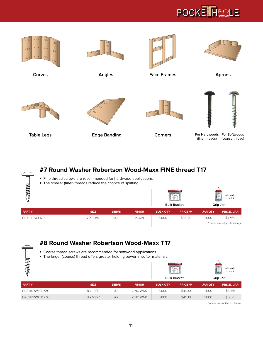



# **#7 Round Washer Robertson Wood-Maxx FINE thread T17**

- **•** Fine thread screws are recommended for hardwood applications.
- **•** The smaller (finer) threads reduce the chance of splitting.

| 目标            |                      |              | $U$ matters<br>Ŧ | <b>Bulk Bucket</b> | add -pak<br>$\frac{0}{2}$<br>to part #<br>Grip Jar |                |                                           |
|---------------|----------------------|--------------|------------------|--------------------|----------------------------------------------------|----------------|-------------------------------------------|
| PART#         | <b>SIZE</b>          | <b>DRIVE</b> | <b>FINISH</b>    | <b>BULK QTY</b>    | <b>PRICE/M</b>                                     | <b>JAR QTY</b> | <b>PRICE / JAR</b>                        |
| CR7114RWT17PL | $7 \times 1 - 1/4$ " | #2           | <b>PLAIN</b>     | 6,000              | \$36.20                                            | 1,000          | \$47.69<br>* prices are subject to change |



# **#8 Round Washer Robertson Wood-Maxx T17**

- **•** Coarse thread screws are recommended for softwood applications.
- **•** The larger (coarse) thread offers greater holding power in softer materials.

| ⊵              |                      |              |                 | U mottom<br>$ \frac{m}{2}$<br><b>Bulk Bucket</b> |                |                | add -pak<br>$\frac{0}{2}$<br>to part $#$<br>Grip Jar |
|----------------|----------------------|--------------|-----------------|--------------------------------------------------|----------------|----------------|------------------------------------------------------|
| PART#          | <b>SIZE</b>          | <b>DRIVE</b> | <b>FINISH</b>   | <b>BULK QTY</b>                                  | <b>PRICE/M</b> | <b>JAR QTY</b> | <b>PRICE / JAR</b>                                   |
| CR8114RWHT17ZC | $8 \times 1 - 1/4$ " | #2           | <b>ZINC WAX</b> | 6,000                                            | \$41.00        | 1,000          | \$51.55                                              |
| CR8112RWHT17ZC | $8 \times 1 - 1/2$ " | #2           | <b>ZINC WAX</b> | 5,000                                            | \$45.18        | 1,000          | \$56.73                                              |

\* prices are subject to change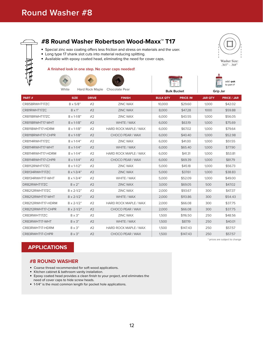

# **#8 Round Washer Robertson Wood-Maxx™ T17**

- **•** Special zinc wax coating offers less friction and stress on materials and the user.
- **•** Long type 17 shank slot cuts into material reducing splitting.
- **•** Available with epoxy coated head, eliminating the need for cover caps.

#### **A finished look in one step. No cover caps needed!**

White Hard Rock Maple Chocolate Pear





Washer Size: .365" - .368"

> add **-pak** to part #

|                   | white                      |              | Hard Rock Maple Chocolate Pear | <b>Bulk Bucket</b> |                | Grip Jar       |                                |
|-------------------|----------------------------|--------------|--------------------------------|--------------------|----------------|----------------|--------------------------------|
| PART#             | <b>SIZE</b>                | <b>DRIVE</b> | <b>FINISH</b>                  | <b>BULK QTY</b>    | <b>PRICE/M</b> | <b>JAR QTY</b> | <b>PRICE / JAR</b>             |
| CR858RWHT17ZC     | $8 \times 5/8"$            | #2           | <b>ZINC WAX</b>                | 10,000             | \$29.60        | 1,000          | \$42.02                        |
| CR81RWHT17ZC      | $8 \times 1$ "             | #2           | <b>ZINC WAX</b>                | 8,000              | \$47.28        | 1000           | \$59.88                        |
| CR8118RWHT17ZC    | $8 \times 1 - 1/8$ "       | #2           | <b>ZINC WAX</b>                | 6,000              | \$43.55        | 1,000          | \$56.05                        |
| CR8118RWHT17-WHT  | $8 \times 1 - 1/8$ "       | #2           | WHITE / WAX                    | 6,000              | \$63.19        | 1.000          | \$75.69                        |
| CR8118WHT17-HDRM  | $8 \times 1 - 1/8$ "       | #2           | <b>HARD ROCK MAPLE / WAX</b>   | 6,000              | \$67.02        | 1,000          | \$79.64                        |
| CR8118RWHT17-CHPR | $8 \times 1 - 1/8$ "       | #2           | CHOCO PEAR / WAX               | 6,000              | \$40.40        | 1,000          | \$52.98                        |
| CR8114RWHT17ZC    | $8 \times 1 - 1/4$ "       | #2           | <b>ZINC WAX</b>                | 6,000              | \$41.00        | 1,000          | \$51.55                        |
| CR8114RWHT17-WHT  | $8 \times 1 - 1/4$ "       | #2           | WHITE / WAX                    | 6,000              | \$65.40        | 1,000          | \$77.90                        |
| CR8114RWHT17-HDRM | $8 \times 1 - 1/4$ "       | #2           | <b>HARD ROCK MAPLE / WAX</b>   | 6.000              | \$41.31        | 1.000          | \$53.81                        |
| CR8114RWHT17-CHPR | $8 \times 1 - 1/4$ "       | #2           | CHOCO PEAR / WAX               | 6,000              | \$69.39        | 1,000          | \$81.79                        |
| CR8112RWHT17ZC    | $8 \times 1 - 1/2$ "       | #2           | <b>ZINC WAX</b>                | 5.000              | \$45.18        | 1.000          | \$56.73                        |
| CR8134RWHT17ZC    | $8 \times 1 - \frac{3}{4}$ | #2           | <b>ZINC WAX</b>                | 5,000              | \$37.61        | 1,000          | \$38.83                        |
| CR8134RWHT17-WHT  | $8 \times 1 - \frac{3}{4}$ | #2           | WHITE / WAX                    | 5,000              | \$52.09        | 1,000          | \$49.00                        |
| DR82RWHT17ZC      | $8 \times 2"$              | #2           | <b>ZINC WAX</b>                | 3,000              | \$69.05        | 500            | \$47.02                        |
| CR8212RWHT17ZC    | $8 \times 2 - 1/2$ "       | #2           | <b>ZINC WAX</b>                | 2,000              | \$93.67        | 300            | \$47.37                        |
| CR8212RWHT17-WHT  | $8 \times 2 - 1/2$ "       | #2           | WHITE / WAX                    | 2.000              | \$113.86       | 300            | \$54.43                        |
| CR8212RWHT17-HDRM | $8 \times 2 - 1/2$ "       | #2           | <b>HARD ROCK MAPLE / WAX</b>   | 2,000              | \$66.08        | 300            | \$37.75                        |
| CR8212RWHT17-CHPR | $8 \times 2 - 1/2$ "       | #2           | CHOCO PEAR / WAX               | 2.000              | \$66.08        | 300            | \$37.75                        |
| CR83RWHT17ZC      | $8 \times 3"$              | #2           | <b>ZINC WAX</b>                | 1,500              | \$116.50       | 250            | \$48.56                        |
| CR83RWHT17-WHT    | $8 \times 3"$              | #2           | WHITE / WAX                    | 1,500              | \$87.19        | 250            | \$40.01                        |
| CR83RWHT17-HDRM   | $8 \times 3"$              | #2           | <b>HARD ROCK MAPLE / WAX</b>   | 1,500              | \$147.43       | 250            | \$57.57                        |
| CR83RWHT17-CHPR   | $8 \times 3"$              | #2           | CHOCO PEAR / WAX               | 1,500              | \$147.43       | 250            | \$57.57                        |
|                   |                            |              |                                |                    |                |                | * prices are subject to change |

# **APPLICATIONS**

#### **#8 ROUND WASHER**

- **•** Coarse thread recommended for soft wood applications.
- **•** Kitchen cabinet & bathroom vanity installation.
- **•** Epoxy coated head provides a clean finish to your project, and eliminates the need of cover caps to hide screw heads.
- **•** 1-1/4" is the most common length for pocket hole applications.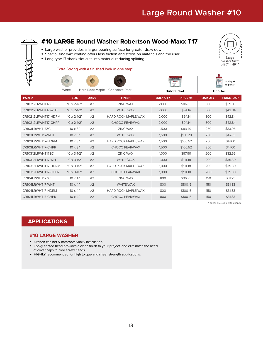

# #10 LARGE **Round Washer Robertson Wood-Maxx T17**

- **•** Large washer provides a larger bearing surface for greater draw down.
- **•** Special zinc wax coating offers less friction and stress on materials and the user.
- **•** Long type 17 shank slot cuts into material reducing splitting.

#### **Extra Strong with a finished look in one step!**







add **-pak** to part #

|                     | vville                | Hall ROCK Maple<br>CHOCORGIE LEGI |                            | <b>Bulk Bucket</b> |                | Grip Jar       |                    |
|---------------------|-----------------------|-----------------------------------|----------------------------|--------------------|----------------|----------------|--------------------|
| PART#               | <b>SIZE</b>           | <b>DRIVE</b>                      | <b>FINISH</b>              | <b>BULK QTY</b>    | <b>PRICE/M</b> | <b>JAR QTY</b> | <b>PRICE / JAR</b> |
| CR10212LRWHT17ZC    | $10 \times 2 - 1/2$ " | #2                                | <b>ZINC WAX</b>            | 2.000              | \$86.63        | 300            | \$39.03            |
| CR10212LRWHT17-WHT  | $10 \times 2 - 1/2$ " | #2                                | <b>WHITE/WAX</b>           | 2,000              | \$94.14        | 300            | \$42.84            |
| CR10212LRWHT17-HDRM | $10 \times 2 - 1/2$ " | #2                                | <b>HARD ROCK MAPLE/WAX</b> | 2,000              | \$94.14        | 300            | \$42.84            |
| CR10212LRWHT17-CHPR | $10 \times 2 - 1/2$ " | #2                                | CHOCO PEAR/WAX             | 2.000              | \$94.14        | 300            | \$42.84            |
| CR103LRWHT17ZC      | $10 \times 3"$        | #2                                | <b>ZINC WAX</b>            | 1.500              | \$83.49        | 250            | \$33.96            |
| CR103LRWHT17-WHT    | $10 \times 3"$        | #2                                | <b>WHITE/WAX</b>           | 1,500              | \$138.28       | 250            | \$47.63            |
| CR103LRWHT17-HDRM   | $10 \times 3"$        | #2                                | <b>HARD ROCK MAPLE/WAX</b> | 1,500              | \$100.52       | 250            | \$41.60            |
| CR103LRWHT17-CHPR   | $10 \times 3"$        | #2                                | CHOCO PEAR/WAX             | 1.500              | \$100.52       | 250            | \$41.60            |
| CR10312LRWHT17ZC    | $10 \times 3 - 1/2$ " | #2                                | <b>ZINC WAX</b>            | 1,000              | \$97.99        | 200            | \$32.66            |
| CR10312LRWHT17-WHT  | $10 \times 3 - 1/2$ " | #2                                | <b>WHITE/WAX</b>           | 1,000              | \$111.18       | 200            | \$35.30            |
| CR10312LRWHT17-HDRM | $10 \times 3 - 1/2$ " | #2                                | <b>HARD ROCK MAPLE/WAX</b> | 1,000              | \$111.18       | 200            | \$35.30            |
| CR10312LRWHT17-CHPR | $10 \times 3 - 1/2$ " | #2                                | CHOCO PEAR/WAX             | 1,000              | \$111.18       | 200            | \$35.30            |
| CR104LRWHT17ZC      | $10 \times 4"$        | #2                                | <b>ZINC WAX</b>            | 800                | \$96.93        | 150            | \$31.23            |
| CR104LRWHT17-WHT    | $10 \times 4"$        | #2                                | <b>WHITE/WAX</b>           | 800                | \$100.15       | 150            | \$31.83            |
| CR104LRWHT17-HDRM   | $10 \times 4"$        | #2                                | <b>HARD ROCK MAPLE/WAX</b> | 800                | \$100.15       | 150            | \$31.83            |
| CR104LRWHT17-CHPR   | $10 \times 4"$        | #2                                | CHOCO PEAR/WAX             | 800                | \$100.15       | 150            | \$31.83            |

\* prices are subject to change

# **APPLICATIONS**

#### **#10 LARGE WASHER**

- **•** Kitchen cabinet & bathroom vanity installation.
- **•** Epoxy coated head provides a clean finish to your project, and eliminates the need of cover caps to hide screw heads.
- **• HIGHLY** recommended for high torque and sheer strength applications.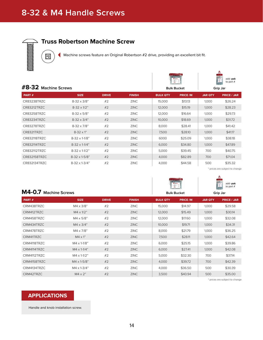# **8-32 & M4 Handle Screws**



|                        |                       |              |                    |                 | ÷.             |                | to part $#$        |
|------------------------|-----------------------|--------------|--------------------|-----------------|----------------|----------------|--------------------|
| $#8-32$ Machine Screws |                       |              | <b>Bulk Bucket</b> |                 | Grip Jar       |                |                    |
| PART#                  | <b>SIZE</b>           | <b>DRIVE</b> | <b>FINISH</b>      | <b>BULK QTY</b> | <b>PRICE/M</b> | <b>JAR QTY</b> | <b>PRICE / JAR</b> |
| CR83238TRZC            | $8-32 \times 3/8"$    | #2           | <b>ZINC</b>        | 15,000          | \$13.13        | 1.000          | \$26.24            |
| <b>CR83212TRZC</b>     | $8-32 \times 1/2$ "   | #2           | <b>ZINC</b>        | 12,000          | \$15.19        | 1,000          | \$28.23            |
| CR83258TRZC            | $8-32 \times 5/8$ "   | #2           | <b>ZINC</b>        | 12,000          | \$16.64        | 1,000          | \$29.73            |
| CR83234TRZC            | $8-32 \times 3/4"$    | #2           | <b>ZINC</b>        | 10,000          | \$18.69        | 1,000          | \$31.72            |
| CR83278TRZC            | $8-32 \times 7/8$ "   | #2           | <b>ZINC</b>        | 8,000           | \$28.41        | 1,000          | \$41.42            |
| CR8321TRZC             | $8 - 32 \times 1$ "   | #2           | <b>ZINC</b>        | 7,500           | \$28.10        | 1,000          | \$41.17            |
| <b>CR832118TRZC</b>    | $8-32 \times 1-1/8$ " | #2           | <b>ZINC</b>        | 6000            | \$25.09        | 1.000          | \$38.18            |
| CR832114TRZC           | $8-32 \times 1-1/4$ " | #2           | <b>ZINC</b>        | 6,000           | \$34.80        | 1,000          | \$47.89            |
| CR832112TRZC           | $8-32 \times 1-1/2$ " | #2           | <b>ZINC</b>        | 5,000           | \$39.45        | 700            | \$40.75            |
| <b>CR832158TRZC</b>    | $8-32 \times 1-5/8$ " | #2           | <b>ZINC</b>        | 4,000           | \$82.89        | 700            | \$71.04            |
| <b>CR832134TRZC</b>    | $8-32 \times 1-3/4$ " | #2           | <b>ZINC</b>        | 4,000           | \$44.58        | 500            | \$35.32            |

\* prices are subject to change

 $\mathbf{L}$ 

|                       |                       |              |                    |                 | <b>U</b> model<br>Ÿ |                | add -pak<br>$\frac{1}{2}$<br>to part $#$ |
|-----------------------|-----------------------|--------------|--------------------|-----------------|---------------------|----------------|------------------------------------------|
| M4-0.7 Machine Screws |                       |              | <b>Bulk Bucket</b> | Grip Jar        |                     |                |                                          |
| PART#                 | <b>SIZE</b>           | <b>DRIVE</b> | <b>FINISH</b>      | <b>BULK QTY</b> | <b>PRICE/M</b>      | <b>JAR OTY</b> | <b>PRICE / JAR</b>                       |
| CRM438TRZC            | $M4 \times 3/8"$      | #2           | <b>ZINC</b>        | 15,000          | \$14.97             | 1,000          | \$29.58                                  |
| CRM412TRZC            | $M4 \times 1/2$ "     | #2           | <b>ZINC</b>        | 12,000          | \$15.49             | 1,000          | \$30.14                                  |
| CRM458TRZC            | $M4 \times 5/8"$      | #2           | <b>ZINC</b>        | 12,000          | \$17.60             | 1,000          | \$32.08                                  |
| CRM434TRZC            | $M4 \times 3/4"$      | #2           | <b>ZINC</b>        | 10,000          | \$19.71             | 1.000          | \$34.31                                  |
| CRM478TRZC            | M4 x 7/8"             | #2           | <b>ZINC</b>        | 8,000           | \$21.79             | 1,000          | \$36.25                                  |
| CRM41TRZC             | $M4 \times 1$ "       | #2           | <b>ZINC</b>        | 7,500           | \$28.11             | 1,000          | \$42.64                                  |
| CRM4118TR7C           | $M4 \times 1 - 1/8$ " | #2           | <b>ZINC</b>        | 6,000           | \$25.15             | 1,000          | \$39.86                                  |
| CRM4114TRZC           | $M4 \times 1 - 1/4$ " | #2           | <b>ZINC</b>        | 6,000           | \$27.41             | 1,000          | \$42.08                                  |
| CRM4112TRZC           | $M4 \times 1 - 1/2$ " | #2           | <b>ZINC</b>        | 5,000           | \$32.30             | 700            | \$37.14                                  |
| CRM4158TRZC           | M4 x 1-5/8"           | #2           | <b>ZINC</b>        | 4,000           | \$39.72             | 700            | \$42.39                                  |
| CRM4134TRZC           | $M4 \times 1-3/4"$    | #2           | <b>ZINC</b>        | 4.000           | \$36.50             | 500            | \$30.39                                  |
| CRM42TRZC             | $M4 \times 2"$        | #2           | <b>ZINC</b>        | 3,500           | \$40.94             | 500            | \$35.00                                  |

\* prices are subject to change

## **APPLICATIONS**

Handle and knob installation screw.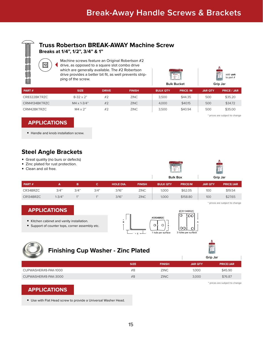

**Breaks at 1/4", 1/2", 3/4" & 1"**

Machine screws feature an Original Robertson #2 drive, as opposed to a square slot combo drive which are generally available. The #2 Robertson drive provides a better bit fit, as well prevents stripping of the screw.





| <b>PART #</b> | <b>SIZE</b>        | <b>DRIVE</b> | <b>FINISH</b> | <b>BULK QTY</b> | <b>PRICE/M</b> | <b>JAR QTY</b> | <b>PRICE / JAR</b> |
|---------------|--------------------|--------------|---------------|-----------------|----------------|----------------|--------------------|
| CR8322BKTRZC  | $8-32 \times 2"$   | #2           | <b>ZINC</b>   | 3.500           | \$44.35        | 500            | \$35.20            |
| CRM4134BKTRZC | $M4 \times 1-3/4"$ | #2           | <b>ZINC</b>   | 4.000           | \$40.15        | 500            | \$34.72            |
| CRM42BKTRZC   | $M4 \times 2"$     | #2           | <b>ZINC</b>   | 3.500           | \$40.94        | 500            | \$35.00            |

\* prices are subject to change

## **APPLICATIONS**

 $\sqrt{\frac{4}{2}}$ 

**•** Handle and knob installation screw.

# **Steel Angle Brackets**

- **•** Great quality (no burs or defects)
- **•** Zinc plated for rust protection.
- **•** Clean and oil free.





\* prices are subject to change

| PART#     |            |      |      | <b>HOLE DIA.</b> | <b>FINISH</b> | <b>BULK QTY</b> | <b>PRICE/M</b> | <b>JAR QTY</b> | <b>PRICE/JAR</b> |
|-----------|------------|------|------|------------------|---------------|-----------------|----------------|----------------|------------------|
| CR34BRZC  | 3/4"       | 3/4" | 3/4" | 3/16"            | <b>ZINC</b>   | 1.000           | \$62.05        | 100            | \$19.54          |
| CR134BRZC | $1 - 3/4"$ | A32  |      | 3/16"            | <b>ZINC</b>   | 1,000           | \$158.80       | 100            | \$27.65          |

# **APPLICATIONS**

- **•** Kitchen cabinet and vanity installation.
- **•** Support of counter tops, corner assembly etc.





# **Finishing Cup Washer - Zinc Plated**

|                      |             |               | Grip Jar       |                  |  |  |  |
|----------------------|-------------|---------------|----------------|------------------|--|--|--|
|                      | <b>SIZE</b> | <b>FINISH</b> | <b>JAR QTY</b> | <b>PRICE/JAR</b> |  |  |  |
| CUPWASHER#8-PAK-1000 | #8          | <b>ZINC</b>   | 1.000          | \$45.90          |  |  |  |
| CUPWASHER#8-PAK-3000 | #8          | <b>ZINC</b>   | 3,000          | \$76.87          |  |  |  |

# **APPLICATIONS**

**•** Use with Flat Head screw to provide a Universal Washer Head.

\* prices are subject to change